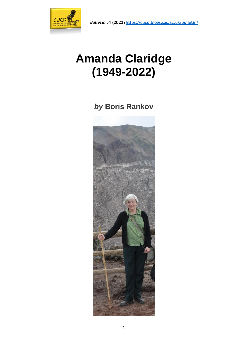



## **Amanda Claridge (1949-2022)**

*by* **Boris Rankov**

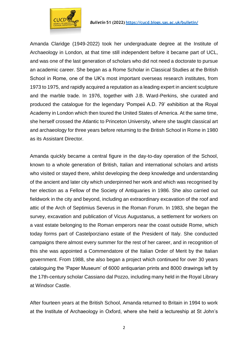

Amanda Claridge (1949-2022) took her undergraduate degree at the Institute of Archaeology in London, at that time still independent before it became part of UCL, and was one of the last generation of scholars who did not need a doctorate to pursue an academic career. She began as a Rome Scholar in Classical Studies at the British School in Rome, one of the UK's most important overseas research institutes, from 1973 to 1975, and rapidly acquired a reputation as a leading expert in ancient sculpture and the marble trade. In 1976, together with J.B. Ward-Perkins, she curated and produced the catalogue for the legendary 'Pompeii A.D. 79' exhibition at the Royal Academy in London which then toured the United States of America. At the same time, she herself crossed the Atlantic to Princeton University, where she taught classical art and archaeology for three years before returning to the British School in Rome in 1980 as its Assistant Director.

Amanda quickly became a central figure in the day-to-day operation of the School, known to a whole generation of British, Italian and international scholars and artists who visited or stayed there, whilst developing the deep knowledge and understanding of the ancient and later city which underpinned her work and which was recognised by her election as a Fellow of the Society of Antiquaries in 1986. She also carried out fieldwork in the city and beyond, including an extraordinary excavation of the roof and attic of the Arch of Septimius Severus in the Roman Forum. In 1983, she began the survey, excavation and publication of Vicus Augustanus, a settlement for workers on a vast estate belonging to the Roman emperors near the coast outside Rome, which today forms part of Castelporziano estate of the President of Italy. She conducted campaigns there almost every summer for the rest of her career, and in recognition of this she was appointed a Commendatore of the Italian Order of Merit by the Italian government. From 1988, she also began a project which continued for over 30 years cataloguing the 'Paper Museum' of 6000 antiquarian prints and 8000 drawings left by the 17th-century scholar Cassiano dal Pozzo, including many held in the Royal Library at Windsor Castle.

After fourteen years at the British School, Amanda returned to Britain in 1994 to work at the Institute of Archaeology in Oxford, where she held a lectureship at St John's